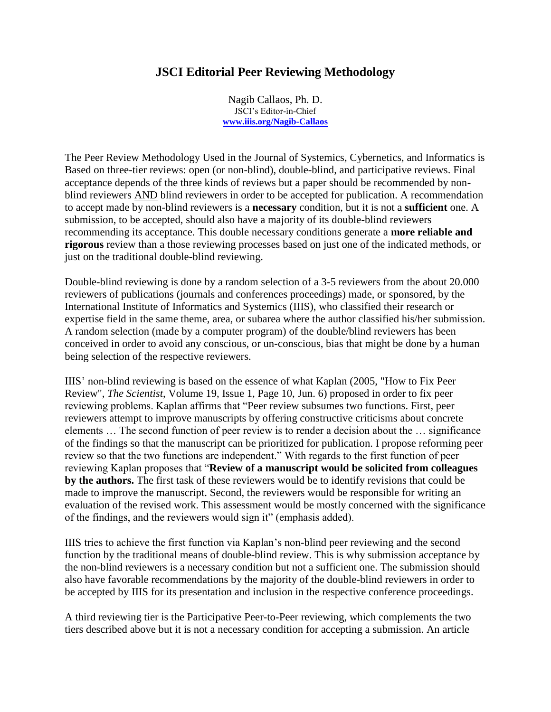## **JSCI Editorial Peer Reviewing Methodology**

Nagib Callaos, Ph. D. JSCI's Editor-in-Chief **[www.iiis.org/Nagib-Callaos](http://www.iiis.org/Nagib-Callaos)**

The Peer Review Methodology Used in the Journal of Systemics, Cybernetics, and Informatics is Based on three-tier reviews: open (or non-blind), double-blind, and participative reviews. Final acceptance depends of the three kinds of reviews but a paper should be recommended by nonblind reviewers AND blind reviewers in order to be accepted for publication. A recommendation to accept made by non-blind reviewers is a **necessary** condition, but it is not a **sufficient** one. A submission, to be accepted, should also have a majority of its double-blind reviewers recommending its acceptance. This double necessary conditions generate a **more reliable and rigorous** review than a those reviewing processes based on just one of the indicated methods, or just on the traditional double-blind reviewing.

Double-blind reviewing is done by a random selection of a 3-5 reviewers from the about 20.000 reviewers of publications (journals and conferences proceedings) made, or sponsored, by the International Institute of Informatics and Systemics (IIIS), who classified their research or expertise field in the same theme, area, or subarea where the author classified his/her submission. A random selection (made by a computer program) of the double/blind reviewers has been conceived in order to avoid any conscious, or un-conscious, bias that might be done by a human being selection of the respective reviewers.

IIIS' non-blind reviewing is based on the essence of what Kaplan (2005, "How to Fix Peer Review", *The Scientist*, Volume 19, Issue 1, Page 10, Jun. 6) proposed in order to fix peer reviewing problems. Kaplan affirms that "Peer review subsumes two functions. First, peer reviewers attempt to improve manuscripts by offering constructive criticisms about concrete elements … The second function of peer review is to render a decision about the … significance of the findings so that the manuscript can be prioritized for publication. I propose reforming peer review so that the two functions are independent." With regards to the first function of peer reviewing Kaplan proposes that "**Review of a manuscript would be solicited from colleagues by the authors.** The first task of these reviewers would be to identify revisions that could be made to improve the manuscript. Second, the reviewers would be responsible for writing an evaluation of the revised work. This assessment would be mostly concerned with the significance of the findings, and the reviewers would sign it" (emphasis added).

IIIS tries to achieve the first function via Kaplan's non-blind peer reviewing and the second function by the traditional means of double-blind review. This is why submission acceptance by the non-blind reviewers is a necessary condition but not a sufficient one. The submission should also have favorable recommendations by the majority of the double-blind reviewers in order to be accepted by IIIS for its presentation and inclusion in the respective conference proceedings.

A third reviewing tier is the Participative Peer-to-Peer reviewing, which complements the two tiers described above but it is not a necessary condition for accepting a submission. An article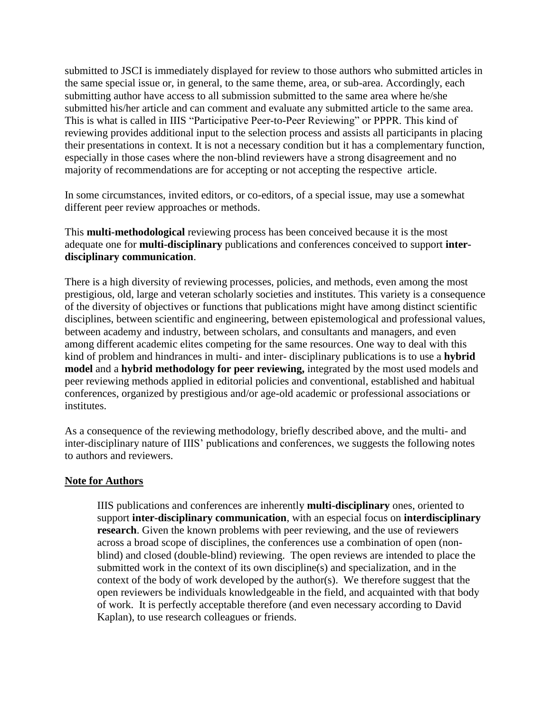submitted to JSCI is immediately displayed for review to those authors who submitted articles in the same special issue or, in general, to the same theme, area, or sub-area. Accordingly, each submitting author have access to all submission submitted to the same area where he/she submitted his/her article and can comment and evaluate any submitted article to the same area. This is what is called in IIIS "Participative Peer-to-Peer Reviewing" or PPPR. This kind of reviewing provides additional input to the selection process and assists all participants in placing their presentations in context. It is not a necessary condition but it has a complementary function, especially in those cases where the non-blind reviewers have a strong disagreement and no majority of recommendations are for accepting or not accepting the respective article.

In some circumstances, invited editors, or co-editors, of a special issue, may use a somewhat different peer review approaches or methods.

This **multi-methodological** reviewing process has been conceived because it is the most adequate one for **multi-disciplinary** publications and conferences conceived to support **interdisciplinary communication**.

There is a high diversity of reviewing processes, policies, and methods, even among the most prestigious, old, large and veteran scholarly societies and institutes. This variety is a consequence of the diversity of objectives or functions that publications might have among distinct scientific disciplines, between scientific and engineering, between epistemological and professional values, between academy and industry, between scholars, and consultants and managers, and even among different academic elites competing for the same resources. One way to deal with this kind of problem and hindrances in multi- and inter- disciplinary publications is to use a **hybrid model** and a **hybrid methodology for peer reviewing,** integrated by the most used models and peer reviewing methods applied in editorial policies and conventional, established and habitual conferences, organized by prestigious and/or age-old academic or professional associations or institutes.

As a consequence of the reviewing methodology, briefly described above, and the multi- and inter-disciplinary nature of IIIS' publications and conferences, we suggests the following notes to authors and reviewers.

## **Note for Authors**

IIIS publications and conferences are inherently **multi-disciplinary** ones, oriented to support **inter-disciplinary communication**, with an especial focus on **interdisciplinary research**. Given the known problems with peer reviewing, and the use of reviewers across a broad scope of disciplines, the conferences use a combination of open (nonblind) and closed (double-blind) reviewing. The open reviews are intended to place the submitted work in the context of its own discipline(s) and specialization, and in the context of the body of work developed by the author(s). We therefore suggest that the open reviewers be individuals knowledgeable in the field, and acquainted with that body of work. It is perfectly acceptable therefore (and even necessary according to David Kaplan), to use research colleagues or friends.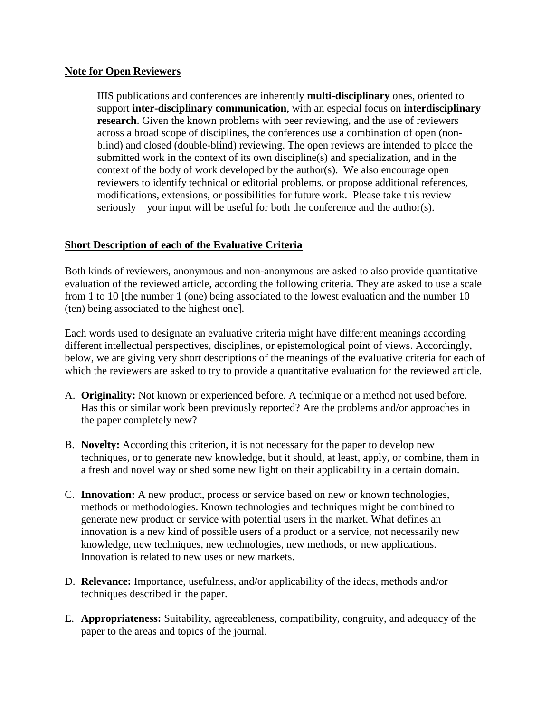## **Note for Open Reviewers**

IIIS publications and conferences are inherently **multi-disciplinary** ones, oriented to support **inter-disciplinary communication**, with an especial focus on **interdisciplinary research**. Given the known problems with peer reviewing, and the use of reviewers across a broad scope of disciplines, the conferences use a combination of open (nonblind) and closed (double-blind) reviewing. The open reviews are intended to place the submitted work in the context of its own discipline(s) and specialization, and in the context of the body of work developed by the author(s). We also encourage open reviewers to identify technical or editorial problems, or propose additional references, modifications, extensions, or possibilities for future work. Please take this review seriously—your input will be useful for both the conference and the author(s).

## **Short Description of each of the Evaluative Criteria**

Both kinds of reviewers, anonymous and non-anonymous are asked to also provide quantitative evaluation of the reviewed article, according the following criteria. They are asked to use a scale from 1 to 10 [the number 1 (one) being associated to the lowest evaluation and the number 10 (ten) being associated to the highest one].

Each words used to designate an evaluative criteria might have different meanings according different intellectual perspectives, disciplines, or epistemological point of views. Accordingly, below, we are giving very short descriptions of the meanings of the evaluative criteria for each of which the reviewers are asked to try to provide a quantitative evaluation for the reviewed article.

- A. **Originality:** Not known or experienced before. A technique or a method not used before. Has this or similar work been previously reported? Are the problems and/or approaches in the paper completely new?
- B. **Novelty:** According this criterion, it is not necessary for the paper to develop new techniques, or to generate new knowledge, but it should, at least, apply, or combine, them in a fresh and novel way or shed some new light on their applicability in a certain domain.
- C. **Innovation:** A new product, process or service based on new or known technologies, methods or methodologies. Known technologies and techniques might be combined to generate new product or service with potential users in the market. What defines an innovation is a new kind of possible users of a product or a service, not necessarily new knowledge, new techniques, new technologies, new methods, or new applications. Innovation is related to new uses or new markets.
- D. **Relevance:** Importance, usefulness, and/or applicability of the ideas, methods and/or techniques described in the paper.
- E. **Appropriateness:** Suitability, agreeableness, compatibility, congruity, and adequacy of the paper to the areas and topics of the journal.